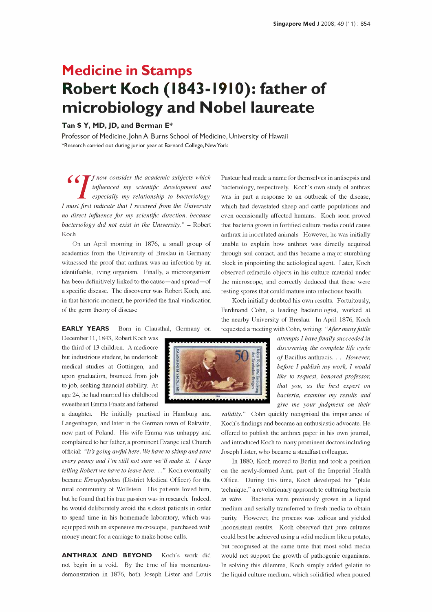## Medicine in Stamps Robert Koch (1843-1910): father of microbiology and Nobel laureate

## Tan S Y, MD, JD, and Berman E\*

Professor of Medicine, John A. Burns School of Medicine, University of Hawaii \*Research carried out during junior year at Barnard College, New York

influenced my scientific development and especially my relationship to bacteriology, I must first indicate that I received from the University no direct influence for my scientific direction, because bacteriology did not exist in the University."  $-$  Robert that bacteria grown in fortified culture media could cause Koch

On an April morning in 1876, a small group of academics from the University of Breslau in Germany witnessed the proof that anthrax was an infection by an identifiable, living organism. Finally, a microorganism has been definitively linked to the cause—and spread—of a specific disease. The discoverer was Robert Koch, and in that historic moment, he provided the final vindication of the germ theory of disease.

EARLY YEARS Born in Clausthal, Germany on

December 11, 1843, Robert Koch was the third of 13 children. A mediocre but industrious student, he undertook medical studies at Gottingen, and upon graduation, bounced from job to job, seeking financial stability. At age 24, he had married his childhood sweetheart Emma Fraatz and fathered

a daughter. He initially practised in Hamburg and Langenhagen, and later in the German town of Rakwitz, now part of Poland. His wife Emma was unhappy and complained to her father, a prominent Evangelical Church official: "It's going awful here. We have to skimp and save every penny and I'm still not sure we'll make it. I keep telling Robert we have to leave here..." Koch eventually became Kreisphysikus (District Medical Officer) for the rural community of Wollstein. His patients loved him, but he found that his true passion was in research. Indeed, *in vitro*. he would deliberately avoid the sickest patients in order to spend time in his homemade laboratory, which was equipped with an expensive microscope, purchased with money meant for a carriage to make house calls.

ANTHRAX AND BEYOND Koch's work did not begin in a void. By the time of his momentous demonstration in 1876, both Joseph Lister and Louis

 $\Gamma f$  now consider the academic subjects which Pasteur had made a name for themselves in antisepsis and influenced my scientific development and bacteriology, respectively. Koch's own study of anthrax Pasteur had made a name for themselves in antisepsis and was in part a response to an outbreak of the disease, which had devastated sheep and cattle populations and even occasionally affected humans. Koch soon proved anthrax in inoculated animals. However, he was initially unable to explain how anthrax was directly acquired through soil contact, and this became a major stumbling block in pinpointing the aetiological agent. Later, Koch observed refractile objects in his culture material under the microscope, and correctly deduced that these were resting spores that could mature into infectious bacilli.

> Koch initially doubted his own results. Fortuitously, Ferdinand Cohn, a leading bacteriologist, worked at the nearby University of Breslau. In April 1876, Koch requested a meeting with Cohn, writing: "After many futile

> > attempts I have finally succeeded in discovering the complete life cycle of Bacillus anthracis... However, before I publish my work, I would like to request, honored professor, that you, as the best expert on bacteria, examine my results and give me your judgment on their

validity." Cohn quickly recognised the importance of Koch's findings and became an enthusiastic advocate. He offered to publish the anthrax paper in his own journal, and introduced Koch to many prominent doctors including Joseph Lister, who became a steadfast colleague.

In 1880, Koch moved to Berlin and took a position on the newly -formed Amt, part of the Imperial Health Office. During this time, Koch developed his "plate technique," a revolutionary approach to culturing bacteria Bacteria were previously grown in a liquid medium and serially transferred to fresh media to obtain purity. However, the process was tedious and yielded inconsistent results. Koch observed that pure cultures could best be achieved using a solid medium like a potato, but recognised at the same time that most solid media would not support the growth of pathogenic organisms. In solving this dilemma, Koch simply added gelatin to the liquid culture medium, which solidified when poured